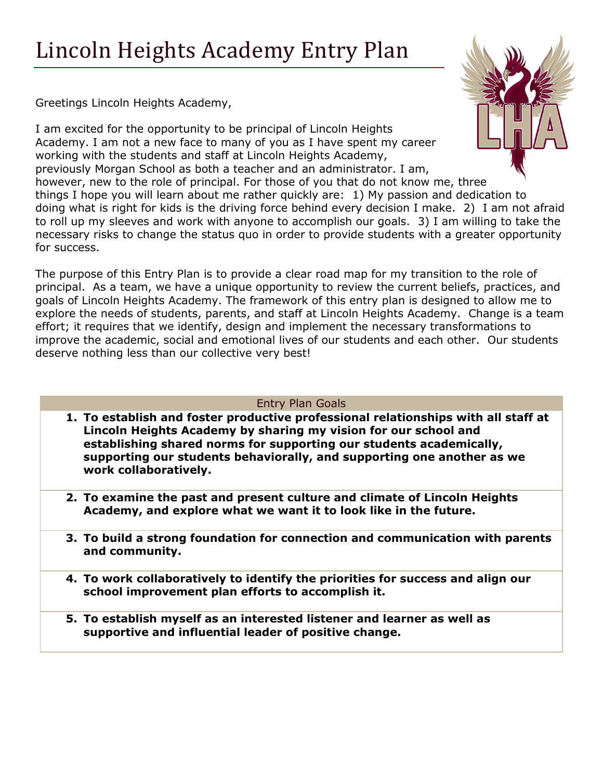# Lincoln Heights Academy Entry Plan

Greetings Lincoln Heights Academy,

I am excited for the opportunity to be principal of Lincoln Heights Academy. I am not a new face to many of you as I have spent my career working with the students and staff at Lincoln Heights Academy, previously Morgan School as both a teacher and an administrator. I am, however, new to the role of principal. For those of you that do not know me, three things I hope you will learn about me rather quickly are: 1) My passion and dedication to doing what is right for kids is the driving force behind every decision I make. 2) I am not afraid to roll up my sleeves and work with anyone to accomplish our goals. 3) I am willing to take the necessary risks to change the status quo in order to provide students with a greater opportunity for success.

The purpose of this Entry Plan is to provide a clear road map for my transition to the role of principal. As a team, we have a unique opportunity to review the current beliefs, practices, and goals of Lincoln Heights Academy. The framework of this entry plan is designed to allow me to explore the needs of students, parents, and staff at Lincoln Heights Academy. Change is a team effort; it requires that we identify, design and implement the necessary transformations to improve the academic, social and emotional lives of our students and each other. Our students deserve nothing less than our collective very best!

### Entry Plan Goals

- **1. To establish and foster productive professional relationships with all staff at Lincoln Heights Academy by sharing my vision for our school and establishing shared norms for supporting our students academically, supporting our students behaviorally, and supporting one another as we work collaboratively.**
- **2. To examine the past and present culture and climate of Lincoln Heights Academy, and explore what we want it to look like in the future.**
- **3. To build a strong foundation for connection and communication with parents and community.**
- **4. To work collaboratively to identify the priorities for success and align our school improvement plan efforts to accomplish it.**
- **5. To establish myself as an interested listener and learner as well as supportive and influential leader of positive change.**

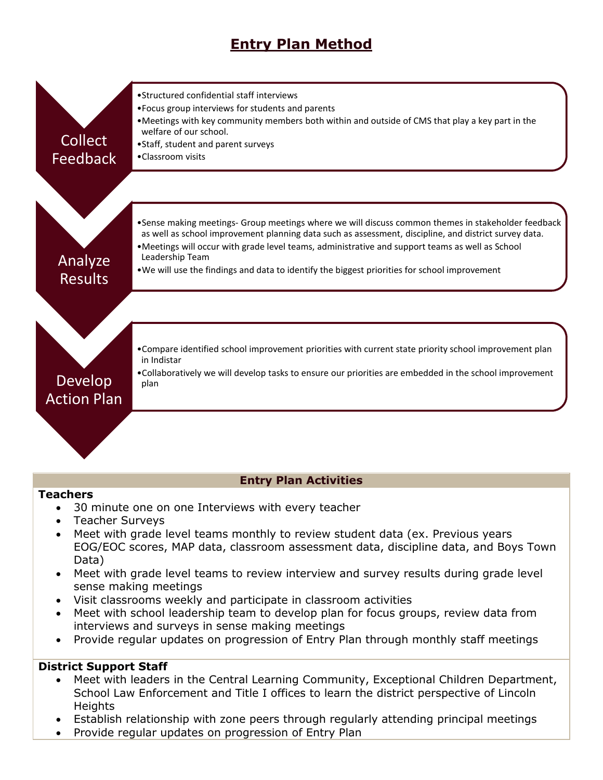# **Entry Plan Method**



#### **Entry Plan Activities**

#### **Teachers**

- 30 minute one on one Interviews with every teacher
- Teacher Surveys
- Meet with grade level teams monthly to review student data (ex. Previous years EOG/EOC scores, MAP data, classroom assessment data, discipline data, and Boys Town Data)
- Meet with grade level teams to review interview and survey results during grade level sense making meetings
- Visit classrooms weekly and participate in classroom activities
- Meet with school leadership team to develop plan for focus groups, review data from interviews and surveys in sense making meetings
- Provide regular updates on progression of Entry Plan through monthly staff meetings

#### **District Support Staff**

- Meet with leaders in the Central Learning Community, Exceptional Children Department, School Law Enforcement and Title I offices to learn the district perspective of Lincoln **Heights**
- Establish relationship with zone peers through regularly attending principal meetings
- Provide regular updates on progression of Entry Plan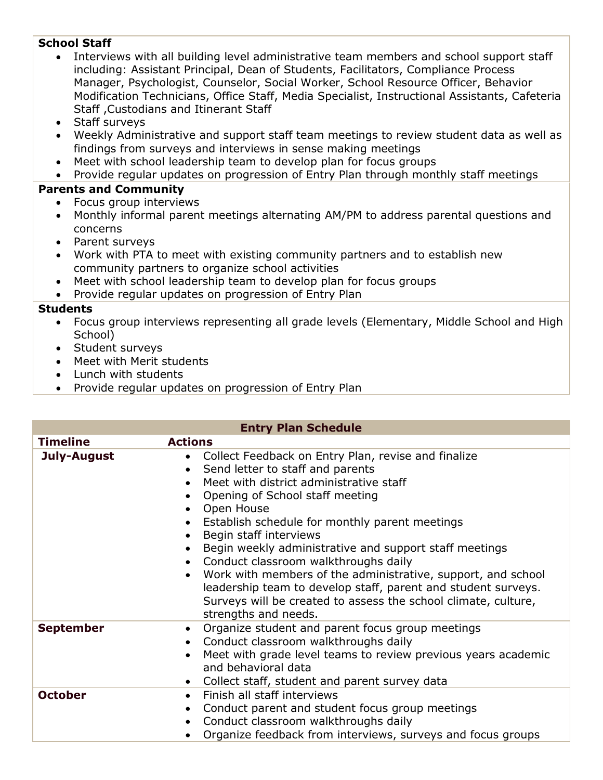#### **School Staff**

- Interviews with all building level administrative team members and school support staff including: Assistant Principal, Dean of Students, Facilitators, Compliance Process Manager, Psychologist, Counselor, Social Worker, School Resource Officer, Behavior Modification Technicians, Office Staff, Media Specialist, Instructional Assistants, Cafeteria Staff ,Custodians and Itinerant Staff
- Staff surveys
- Weekly Administrative and support staff team meetings to review student data as well as findings from surveys and interviews in sense making meetings
- Meet with school leadership team to develop plan for focus groups
- Provide regular updates on progression of Entry Plan through monthly staff meetings

#### **Parents and Community**

- Focus group interviews
- Monthly informal parent meetings alternating AM/PM to address parental questions and concerns
- Parent surveys
- Work with PTA to meet with existing community partners and to establish new community partners to organize school activities
- Meet with school leadership team to develop plan for focus groups
- Provide regular updates on progression of Entry Plan

#### **Students**

- Focus group interviews representing all grade levels (Elementary, Middle School and High School)
- Student surveys
- Meet with Merit students
- Lunch with students
- Provide regular updates on progression of Entry Plan

| <b>Entry Plan Schedule</b> |                                                                                                                                                                                                                                                                                                                                                                                                                                                                                                                                                                                                                                     |  |  |
|----------------------------|-------------------------------------------------------------------------------------------------------------------------------------------------------------------------------------------------------------------------------------------------------------------------------------------------------------------------------------------------------------------------------------------------------------------------------------------------------------------------------------------------------------------------------------------------------------------------------------------------------------------------------------|--|--|
| <b>Timeline</b>            | <b>Actions</b>                                                                                                                                                                                                                                                                                                                                                                                                                                                                                                                                                                                                                      |  |  |
| July-August                | Collect Feedback on Entry Plan, revise and finalize<br>$\bullet$<br>Send letter to staff and parents<br>$\bullet$<br>Meet with district administrative staff<br>Opening of School staff meeting<br>Open House<br>Establish schedule for monthly parent meetings<br>Begin staff interviews<br>Begin weekly administrative and support staff meetings<br>Conduct classroom walkthroughs daily<br>$\bullet$<br>Work with members of the administrative, support, and school<br>leadership team to develop staff, parent and student surveys.<br>Surveys will be created to assess the school climate, culture,<br>strengths and needs. |  |  |
| September                  | Organize student and parent focus group meetings<br>$\bullet$<br>Conduct classroom walkthroughs daily<br>$\bullet$<br>Meet with grade level teams to review previous years academic<br>$\bullet$<br>and behavioral data<br>Collect staff, student and parent survey data<br>$\bullet$                                                                                                                                                                                                                                                                                                                                               |  |  |
| <b>October</b>             | Finish all staff interviews<br>$\bullet$<br>Conduct parent and student focus group meetings<br>$\bullet$<br>Conduct classroom walkthroughs daily<br>Organize feedback from interviews, surveys and focus groups                                                                                                                                                                                                                                                                                                                                                                                                                     |  |  |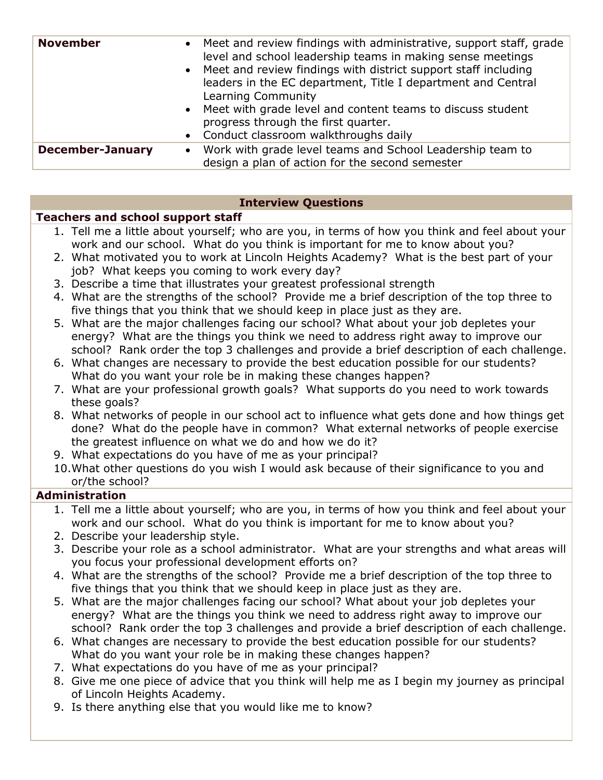| <b>November</b>         |           | • Meet and review findings with administrative, support staff, grade<br>level and school leadership teams in making sense meetings<br>• Meet and review findings with district support staff including<br>leaders in the EC department, Title I department and Central<br>Learning Community<br>• Meet with grade level and content teams to discuss student |
|-------------------------|-----------|--------------------------------------------------------------------------------------------------------------------------------------------------------------------------------------------------------------------------------------------------------------------------------------------------------------------------------------------------------------|
|                         |           | progress through the first quarter.<br>• Conduct classroom walkthroughs daily                                                                                                                                                                                                                                                                                |
| <b>December-January</b> | $\bullet$ | Work with grade level teams and School Leadership team to<br>design a plan of action for the second semester                                                                                                                                                                                                                                                 |

# **Interview Questions**

# **Teachers and school support staff**

- 1. Tell me a little about yourself; who are you, in terms of how you think and feel about your work and our school. What do you think is important for me to know about you?
- 2. What motivated you to work at Lincoln Heights Academy? What is the best part of your job? What keeps you coming to work every day?
- 3. Describe a time that illustrates your greatest professional strength
- 4. What are the strengths of the school? Provide me a brief description of the top three to five things that you think that we should keep in place just as they are.
- 5. What are the major challenges facing our school? What about your job depletes your energy? What are the things you think we need to address right away to improve our school? Rank order the top 3 challenges and provide a brief description of each challenge.
- 6. What changes are necessary to provide the best education possible for our students? What do you want your role be in making these changes happen?
- 7. What are your professional growth goals? What supports do you need to work towards these goals?
- 8. What networks of people in our school act to influence what gets done and how things get done? What do the people have in common? What external networks of people exercise the greatest influence on what we do and how we do it?
- 9. What expectations do you have of me as your principal?
- 10.What other questions do you wish I would ask because of their significance to you and or/the school?

# **Administration**

- 1. Tell me a little about yourself; who are you, in terms of how you think and feel about your work and our school. What do you think is important for me to know about you?
- 2. Describe your leadership style.
- 3. Describe your role as a school administrator. What are your strengths and what areas will you focus your professional development efforts on?
- 4. What are the strengths of the school? Provide me a brief description of the top three to five things that you think that we should keep in place just as they are.
- 5. What are the major challenges facing our school? What about your job depletes your energy? What are the things you think we need to address right away to improve our school? Rank order the top 3 challenges and provide a brief description of each challenge.
- 6. What changes are necessary to provide the best education possible for our students? What do you want your role be in making these changes happen?
- 7. What expectations do you have of me as your principal?
- 8. Give me one piece of advice that you think will help me as I begin my journey as principal of Lincoln Heights Academy.
- 9. Is there anything else that you would like me to know?